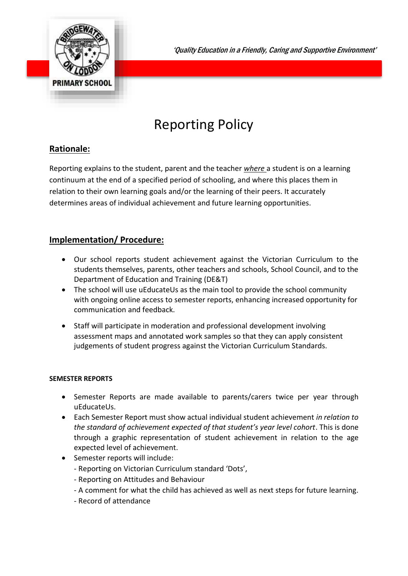

'Quality Education in a Friendly, Caring and Supportive Environment'

# Reporting Policy

# **Rationale:**

Reporting explains to the student, parent and the teacher *where* a student is on a learning continuum at the end of a specified period of schooling, and where this places them in relation to their own learning goals and/or the learning of their peers. It accurately determines areas of individual achievement and future learning opportunities.

# **Implementation/ Procedure:**

- Our school reports student achievement against the Victorian Curriculum to the students themselves, parents, other teachers and schools, School Council, and to the Department of Education and Training (DE&T)
- The school will use uEducateUs as the main tool to provide the school community with ongoing online access to semester reports, enhancing increased opportunity for communication and feedback.
- Staff will participate in moderation and professional development involving assessment maps and annotated work samples so that they can apply consistent judgements of student progress against the Victorian Curriculum Standards.

## **SEMESTER REPORTS**

- Semester Reports are made available to parents/carers twice per year through uEducateUs.
- Each Semester Report must show actual individual student achievement *in relation to the standard of achievement expected of that student's year level cohort*. This is done through a graphic representation of student achievement in relation to the age expected level of achievement.
- Semester reports will include:
	- Reporting on Victorian Curriculum standard 'Dots',
	- Reporting on Attitudes and Behaviour
	- A comment for what the child has achieved as well as next steps for future learning.
	- Record of attendance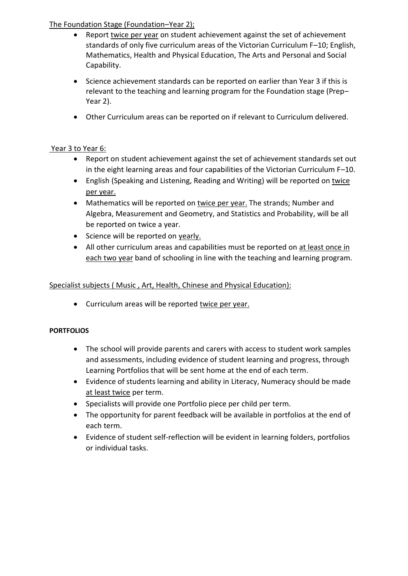## The Foundation Stage (Foundation–Year 2);

- Report twice per year on student achievement against the set of achievement standards of only five curriculum areas of the Victorian Curriculum F–10; English, Mathematics, Health and Physical Education, The Arts and Personal and Social Capability.
- Science achievement standards can be reported on earlier than Year 3 if this is relevant to the teaching and learning program for the Foundation stage (Prep– Year 2).
- Other Curriculum areas can be reported on if relevant to Curriculum delivered.

### Year 3 to Year 6:

- Report on student achievement against the set of achievement standards set out in the eight learning areas and four capabilities of the Victorian Curriculum F–10.
- English (Speaking and Listening, Reading and Writing) will be reported on twice per year.
- Mathematics will be reported on twice per year. The strands; Number and Algebra, Measurement and Geometry, and Statistics and Probability, will be all be reported on twice a year.
- Science will be reported on yearly.
- All other curriculum areas and capabilities must be reported on at least once in each two year band of schooling in line with the teaching and learning program.

### Specialist subjects ( Music , Art, Health, Chinese and Physical Education):

• Curriculum areas will be reported twice per year.

#### **PORTFOLIOS**

- The school will provide parents and carers with access to student work samples and assessments, including evidence of student learning and progress, through Learning Portfolios that will be sent home at the end of each term.
- Evidence of students learning and ability in Literacy, Numeracy should be made at least twice per term.
- Specialists will provide one Portfolio piece per child per term.
- The opportunity for parent feedback will be available in portfolios at the end of each term.
- Evidence of student self-reflection will be evident in learning folders, portfolios or individual tasks.